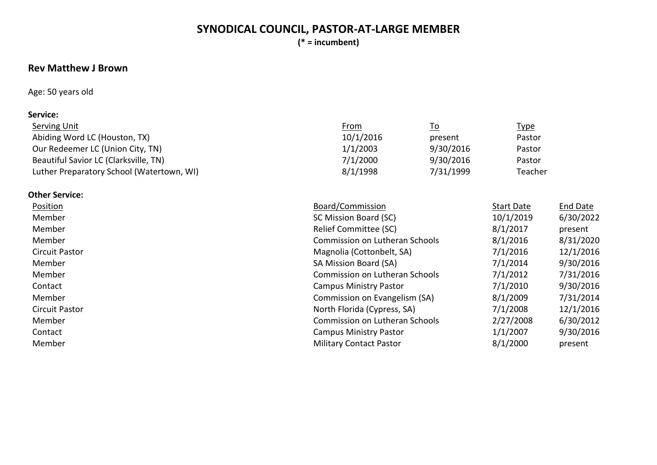# **SYNODICAL COUNCIL, PASTOR-AT-LARGE MEMBER**

**(\* = incumbent)**

# **Rev Matthew J Brown**

### Age: 50 years old

### **Service:**

| Serving Unit                              | <u>From</u> | <u>To</u> | <u>Type</u> |
|-------------------------------------------|-------------|-----------|-------------|
| Abiding Word LC (Houston, TX)             | 10/1/2016   | present   | Pastor      |
| Our Redeemer LC (Union City, TN)          | 1/1/2003    | 9/30/2016 | Pastor      |
| Beautiful Savior LC (Clarksville, TN)     | 7/1/2000    | 9/30/2016 | Pastor      |
| Luther Preparatory School (Watertown, WI) | 8/1/1998    | 7/31/1999 | Teacher     |

#### **Other Service:**

| <b>Position</b>       | Board/Commission                      | <b>Start Date</b> | <b>End Date</b> |
|-----------------------|---------------------------------------|-------------------|-----------------|
| Member                | SC Mission Board (SC)                 | 10/1/2019         | 6/30/2022       |
| Member                | Relief Committee (SC)                 | 8/1/2017          | present         |
| Member                | <b>Commission on Lutheran Schools</b> | 8/1/2016          | 8/31/2020       |
| Circuit Pastor        | Magnolia (Cottonbelt, SA)             | 7/1/2016          | 12/1/2016       |
| Member                | SA Mission Board (SA)                 | 7/1/2014          | 9/30/2016       |
| Member                | <b>Commission on Lutheran Schools</b> | 7/1/2012          | 7/31/2016       |
| Contact               | <b>Campus Ministry Pastor</b>         | 7/1/2010          | 9/30/2016       |
| Member                | Commission on Evangelism (SA)         | 8/1/2009          | 7/31/2014       |
| <b>Circuit Pastor</b> | North Florida (Cypress, SA)           | 7/1/2008          | 12/1/2016       |
| Member                | <b>Commission on Lutheran Schools</b> | 2/27/2008         | 6/30/2012       |
| Contact               | <b>Campus Ministry Pastor</b>         | 1/1/2007          | 9/30/2016       |
| Member                | <b>Military Contact Pastor</b>        | 8/1/2000          | present         |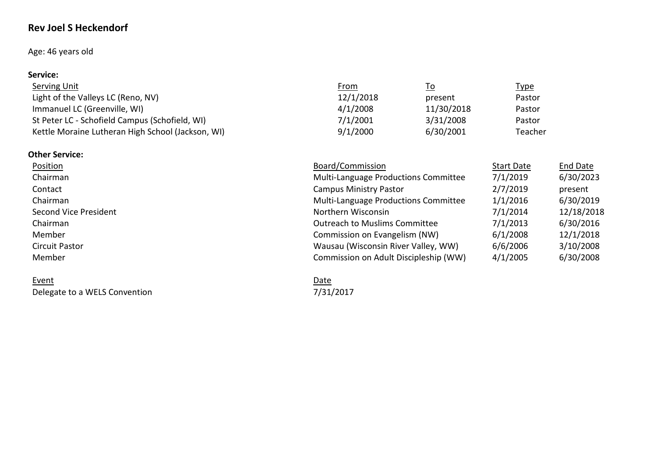# **Rev Joel S Heckendorf**

### Age: 46 years old

### **Service:**

| Serving Unit                                      | <u>From</u> | <u>To</u>  | <u>Type</u> |
|---------------------------------------------------|-------------|------------|-------------|
| Light of the Valleys LC (Reno, NV)                | 12/1/2018   | present    | Pastor      |
| Immanuel LC (Greenville, WI)                      | 4/1/2008    | 11/30/2018 | Pastor      |
| St Peter LC - Schofield Campus (Schofield, WI)    | 7/1/2001    | 3/31/2008  | Pastor      |
| Kettle Moraine Lutheran High School (Jackson, WI) | 9/1/2000    | 6/30/2001  | Teacher     |

### **Other Service:**

| Position              | Board/Commission                      | <b>Start Date</b> | <b>End Date</b> |
|-----------------------|---------------------------------------|-------------------|-----------------|
| Chairman              | Multi-Language Productions Committee  | 7/1/2019          | 6/30/2023       |
| Contact               | <b>Campus Ministry Pastor</b>         | 2/7/2019          | present         |
| Chairman              | Multi-Language Productions Committee  | 1/1/2016          | 6/30/2019       |
| Second Vice President | Northern Wisconsin                    | 7/1/2014          | 12/18/2018      |
| Chairman              | <b>Outreach to Muslims Committee</b>  | 7/1/2013          | 6/30/2016       |
| Member                | Commission on Evangelism (NW)         | 6/1/2008          | 12/1/2018       |
| <b>Circuit Pastor</b> | Wausau (Wisconsin River Valley, WW)   | 6/6/2006          | 3/10/2008       |
| Member                | Commission on Adult Discipleship (WW) | 4/1/2005          | 6/30/2008       |

#### Event Date

Event<br>
Delegate to a WELS Convention<br>
Delegate to a WELS Convention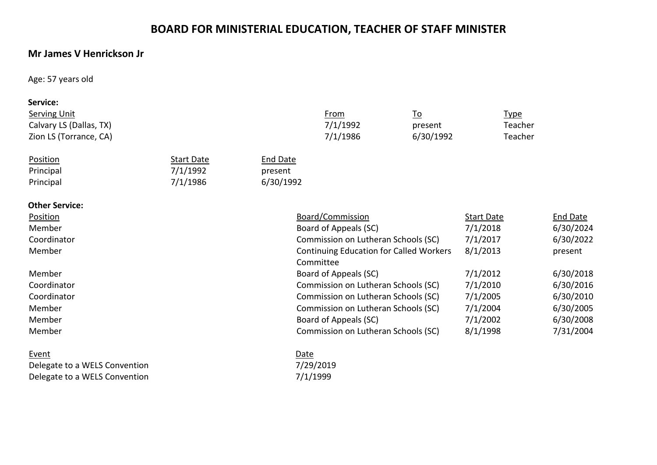# **BOARD FOR MINISTERIAL EDUCATION, TEACHER OF STAFF MINISTER**

# **Mr James V Henrickson Jr**

Age: 57 years old

| Service:                |                   |                 |                                                |           |                   |                 |
|-------------------------|-------------------|-----------------|------------------------------------------------|-----------|-------------------|-----------------|
| <b>Serving Unit</b>     |                   |                 | <b>From</b>                                    | <u>To</u> | <u>Type</u>       |                 |
| Calvary LS (Dallas, TX) |                   |                 | 7/1/1992                                       | present   | Teacher           |                 |
| Zion LS (Torrance, CA)  |                   |                 | 7/1/1986                                       | 6/30/1992 | Teacher           |                 |
| Position                | <b>Start Date</b> | <b>End Date</b> |                                                |           |                   |                 |
| Principal               | 7/1/1992          | present         |                                                |           |                   |                 |
| Principal               | 7/1/1986          | 6/30/1992       |                                                |           |                   |                 |
| <b>Other Service:</b>   |                   |                 |                                                |           |                   |                 |
| Position                |                   |                 | Board/Commission                               |           | <b>Start Date</b> | <b>End Date</b> |
| Member                  |                   |                 | Board of Appeals (SC)                          |           | 7/1/2018          | 6/30/2024       |
| Coordinator             |                   |                 | Commission on Lutheran Schools (SC)            |           | 7/1/2017          | 6/30/2022       |
| Member                  |                   |                 | <b>Continuing Education for Called Workers</b> |           | 8/1/2013          | present         |
|                         |                   |                 | Committee                                      |           |                   |                 |
| Member                  |                   |                 | Board of Appeals (SC)                          |           | 7/1/2012          | 6/30/2018       |
| Coordinator             |                   |                 | Commission on Lutheran Schools (SC)            |           | 7/1/2010          | 6/30/2016       |
| Coordinator             |                   |                 | Commission on Lutheran Schools (SC)            |           | 7/1/2005          | 6/30/2010       |
| Member                  |                   |                 | Commission on Lutheran Schools (SC)            |           | 7/1/2004          | 6/30/2005       |
| Member                  |                   |                 | Board of Appeals (SC)                          |           | 7/1/2002          | 6/30/2008       |
| Member                  |                   |                 | Commission on Lutheran Schools (SC)            |           | 8/1/1998          | 7/31/2004       |
| Event                   |                   | Date            |                                                |           |                   |                 |

Delegate to a WELS Convention<br>
Delegate to a WELS Convention<br>
7/1/1999 Delegate to a WELS Convention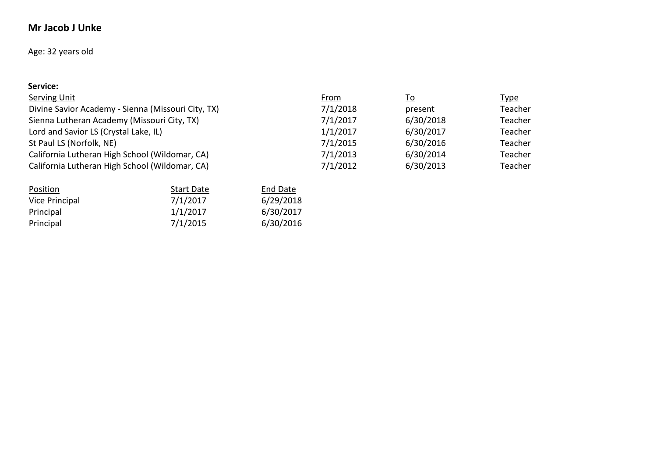# **Mr Jacob J Unke**

# Age: 32 years old

| Service:                                           |             |           |             |
|----------------------------------------------------|-------------|-----------|-------------|
| Serving Unit                                       | <b>From</b> | <u>To</u> | <u>Type</u> |
| Divine Savior Academy - Sienna (Missouri City, TX) | 7/1/2018    | present   | Teacher     |
| Sienna Lutheran Academy (Missouri City, TX)        | 7/1/2017    | 6/30/2018 | Teacher     |
| Lord and Savior LS (Crystal Lake, IL)              | 1/1/2017    | 6/30/2017 | Teacher     |
| St Paul LS (Norfolk, NE)                           | 7/1/2015    | 6/30/2016 | Teacher     |
| California Lutheran High School (Wildomar, CA)     | 7/1/2013    | 6/30/2014 | Teacher     |
| California Lutheran High School (Wildomar, CA)     | 7/1/2012    | 6/30/2013 | Teacher     |
|                                                    |             |           |             |

| Position       | <b>Start Date</b> | <b>End Date</b> |
|----------------|-------------------|-----------------|
| Vice Principal | 7/1/2017          | 6/29/2018       |
| Principal      | 1/1/2017          | 6/30/2017       |
| Principal      | 7/1/2015          | 6/30/2016       |
|                |                   |                 |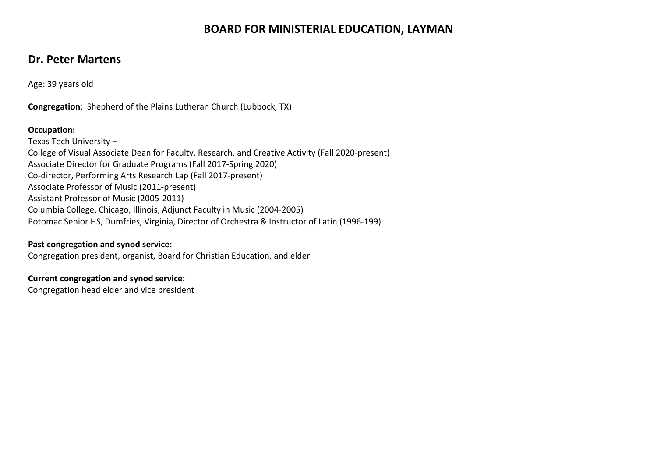# **BOARD FOR MINISTERIAL EDUCATION, LAYMAN**

# **Dr. Peter Martens**

Age: 39 years old

**Congregation**: Shepherd of the Plains Lutheran Church (Lubbock, TX)

#### **Occupation:**

Texas Tech University – College of Visual Associate Dean for Faculty, Research, and Creative Activity (Fall 2020-present) Associate Director for Graduate Programs (Fall 2017-Spring 2020) Co-director, Performing Arts Research Lap (Fall 2017-present) Associate Professor of Music (2011-present) Assistant Professor of Music (2005-2011) Columbia College, Chicago, Illinois, Adjunct Faculty in Music (2004-2005) Potomac Senior HS, Dumfries, Virginia, Director of Orchestra & Instructor of Latin (1996-199)

#### **Past congregation and synod service:**

Congregation president, organist, Board for Christian Education, and elder

#### **Current congregation and synod service:**

Congregation head elder and vice president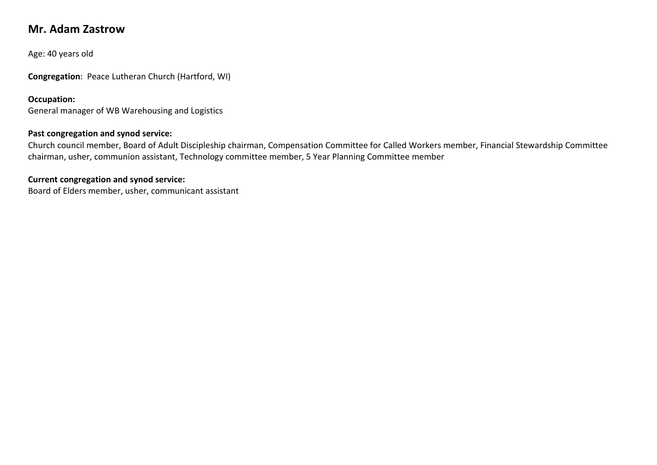# **Mr. Adam Zastrow**

Age: 40 years old

**Congregation**: Peace Lutheran Church (Hartford, WI)

#### **Occupation:**

General manager of WB Warehousing and Logistics

### **Past congregation and synod service:**

Church council member, Board of Adult Discipleship chairman, Compensation Committee for Called Workers member, Financial Stewardship Committee chairman, usher, communion assistant, Technology committee member, 5 Year Planning Committee member

#### **Current congregation and synod service:**

Board of Elders member, usher, communicant assistant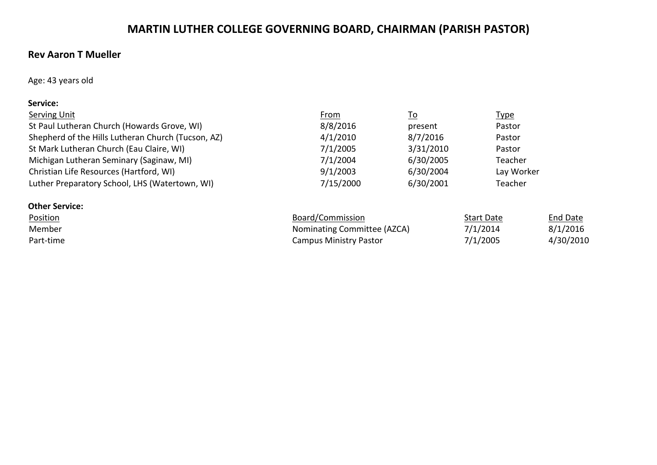# **MARTIN LUTHER COLLEGE GOVERNING BOARD, CHAIRMAN (PARISH PASTOR)**

# **Rev Aaron T Mueller**

Age: 43 years old

#### **Service:**

| Serving Unit                                       | <u>From</u> | <u>To</u> | <u>Type</u> |
|----------------------------------------------------|-------------|-----------|-------------|
| St Paul Lutheran Church (Howards Grove, WI)        | 8/8/2016    | present   | Pastor      |
| Shepherd of the Hills Lutheran Church (Tucson, AZ) | 4/1/2010    | 8/7/2016  | Pastor      |
| St Mark Lutheran Church (Eau Claire, WI)           | 7/1/2005    | 3/31/2010 | Pastor      |
| Michigan Lutheran Seminary (Saginaw, MI)           | 7/1/2004    | 6/30/2005 | Teacher     |
| Christian Life Resources (Hartford, WI)            | 9/1/2003    | 6/30/2004 | Lay Worker  |
| Luther Preparatory School, LHS (Watertown, WI)     | 7/15/2000   | 6/30/2001 | Teacher     |
|                                                    |             |           |             |

| <b>Other Service:</b> |                               |                   |                 |
|-----------------------|-------------------------------|-------------------|-----------------|
| <b>Position</b>       | Board/Commission              | <b>Start Date</b> | <b>End Date</b> |
| Member                | Nominating Committee (AZCA)   | 7/1/2014          | 8/1/2016        |
| Part-time             | <b>Campus Ministry Pastor</b> | 7/1/2005          | 4/30/2010       |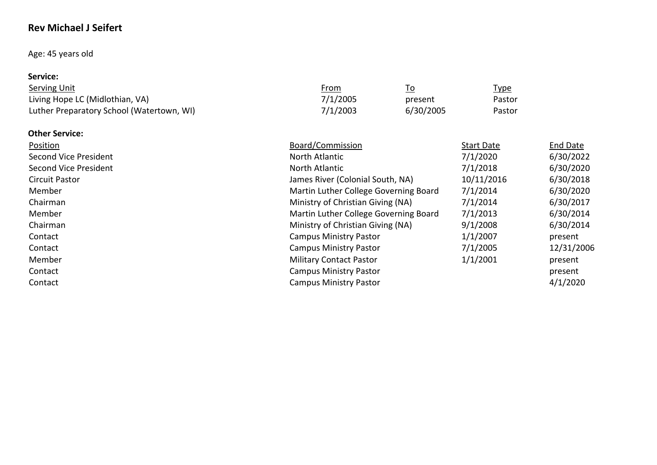# **Rev Michael J Seifert**

# Age: 45 years old

### **Service:**

| Serving Unit                              | From     |           | <u>Type</u> |
|-------------------------------------------|----------|-----------|-------------|
| Living Hope LC (Midlothian, VA)           | 7/1/2005 | present   | Pastor      |
| Luther Preparatory School (Watertown, WI) | 7/1/2003 | 6/30/2005 | Pastor      |

#### **Other Service:**

| Position                     | Board/Commission                      | <b>Start Date</b> | <b>End Date</b> |
|------------------------------|---------------------------------------|-------------------|-----------------|
| Second Vice President        | North Atlantic                        | 7/1/2020          | 6/30/2022       |
| <b>Second Vice President</b> | North Atlantic                        | 7/1/2018          | 6/30/2020       |
| Circuit Pastor               | James River (Colonial South, NA)      | 10/11/2016        | 6/30/2018       |
| Member                       | Martin Luther College Governing Board | 7/1/2014          | 6/30/2020       |
| Chairman                     | Ministry of Christian Giving (NA)     | 7/1/2014          | 6/30/2017       |
| Member                       | Martin Luther College Governing Board | 7/1/2013          | 6/30/2014       |
| Chairman                     | Ministry of Christian Giving (NA)     | 9/1/2008          | 6/30/2014       |
| Contact                      | <b>Campus Ministry Pastor</b>         | 1/1/2007          | present         |
| Contact                      | <b>Campus Ministry Pastor</b>         | 7/1/2005          | 12/31/2006      |
| Member                       | <b>Military Contact Pastor</b>        | 1/1/2001          | present         |
| Contact                      | <b>Campus Ministry Pastor</b>         |                   | present         |
| Contact                      | <b>Campus Ministry Pastor</b>         |                   | 4/1/2020        |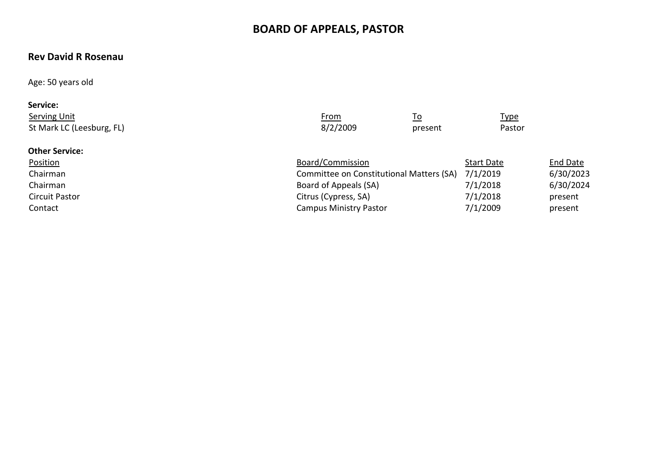# **BOARD OF APPEALS, PASTOR**

# **Rev David R Rosenau**

Age: 50 years old

| Service:                  |             |           |             |
|---------------------------|-------------|-----------|-------------|
| <b>Serving Unit</b>       | <u>From</u> | <u>To</u> | <u>Type</u> |
| St Mark LC (Leesburg, FL) | 8/2/2009    | present   | Pastor      |
| <b>Other Service:</b>     |             |           |             |

| <b>Position</b> | Board/Commission                         | <b>Start Date</b> | <b>End Date</b> |
|-----------------|------------------------------------------|-------------------|-----------------|
| Chairman        | Committee on Constitutional Matters (SA) | 7/1/2019          | 6/30/2023       |
| Chairman        | Board of Appeals (SA)                    | 7/1/2018          | 6/30/2024       |
| Circuit Pastor  | Citrus (Cypress, SA)                     | 7/1/2018          | present         |
| Contact         | <b>Campus Ministry Pastor</b>            | 7/1/2009          | present         |